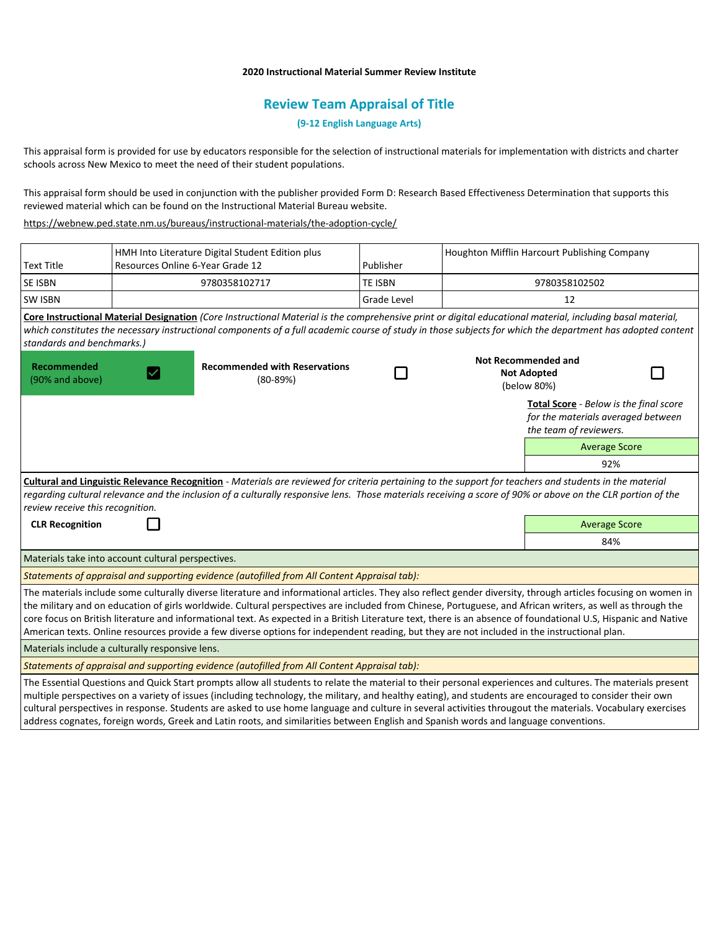# **2020 Instructional Material Summer Review Institute**

# **Review Team Appraisal of Title**

# **(9-12 English Language Arts)**

This appraisal form is provided for use by educators responsible for the selection of instructional materials for implementation with districts and charter schools across New Mexico to meet the need of their student populations.

This appraisal form should be used in conjunction with the publisher provided Form D: Research Based Effectiveness Determination that supports this reviewed material which can be found on the Instructional Material Bureau website.

<https://webnew.ped.state.nm.us/bureaus/instructional-materials/the-adoption-cycle/>

| <b>Text Title</b>                                                                                                                                                                                                                                                                                                                                          | HMH Into Literature Digital Student Edition plus<br>Resources Online 6-Year Grade 12 |                                                                                                                                                                                                                                                                                                                                                                                                                                                                                                                                                                                                                                                 | Publisher      |                                                                 | Houghton Mifflin Harcourt Publishing Company                                                                  |  |
|------------------------------------------------------------------------------------------------------------------------------------------------------------------------------------------------------------------------------------------------------------------------------------------------------------------------------------------------------------|--------------------------------------------------------------------------------------|-------------------------------------------------------------------------------------------------------------------------------------------------------------------------------------------------------------------------------------------------------------------------------------------------------------------------------------------------------------------------------------------------------------------------------------------------------------------------------------------------------------------------------------------------------------------------------------------------------------------------------------------------|----------------|-----------------------------------------------------------------|---------------------------------------------------------------------------------------------------------------|--|
| <b>SE ISBN</b>                                                                                                                                                                                                                                                                                                                                             | 9780358102717                                                                        |                                                                                                                                                                                                                                                                                                                                                                                                                                                                                                                                                                                                                                                 | <b>TE ISBN</b> |                                                                 | 9780358102502                                                                                                 |  |
| <b>SW ISBN</b>                                                                                                                                                                                                                                                                                                                                             |                                                                                      |                                                                                                                                                                                                                                                                                                                                                                                                                                                                                                                                                                                                                                                 | Grade Level    |                                                                 | 12                                                                                                            |  |
| standards and benchmarks.)                                                                                                                                                                                                                                                                                                                                 |                                                                                      | Core Instructional Material Designation (Core Instructional Material is the comprehensive print or digital educational material, including basal material,<br>which constitutes the necessary instructional components of a full academic course of study in those subjects for which the department has adopted content                                                                                                                                                                                                                                                                                                                        |                |                                                                 |                                                                                                               |  |
| <b>Recommended</b><br>(90% and above)                                                                                                                                                                                                                                                                                                                      | <b>Recommended with Reservations</b><br>$(80-89%)$                                   |                                                                                                                                                                                                                                                                                                                                                                                                                                                                                                                                                                                                                                                 |                | <b>Not Recommended and</b><br><b>Not Adopted</b><br>(below 80%) |                                                                                                               |  |
|                                                                                                                                                                                                                                                                                                                                                            |                                                                                      |                                                                                                                                                                                                                                                                                                                                                                                                                                                                                                                                                                                                                                                 |                |                                                                 | <b>Total Score</b> - Below is the final score<br>for the materials averaged between<br>the team of reviewers. |  |
|                                                                                                                                                                                                                                                                                                                                                            |                                                                                      |                                                                                                                                                                                                                                                                                                                                                                                                                                                                                                                                                                                                                                                 |                |                                                                 | <b>Average Score</b>                                                                                          |  |
|                                                                                                                                                                                                                                                                                                                                                            |                                                                                      |                                                                                                                                                                                                                                                                                                                                                                                                                                                                                                                                                                                                                                                 |                |                                                                 | 92%                                                                                                           |  |
| Cultural and Linguistic Relevance Recognition - Materials are reviewed for criteria pertaining to the support for teachers and students in the material<br>regarding cultural relevance and the inclusion of a culturally responsive lens. Those materials receiving a score of 90% or above on the CLR portion of the<br>review receive this recognition. |                                                                                      |                                                                                                                                                                                                                                                                                                                                                                                                                                                                                                                                                                                                                                                 |                |                                                                 |                                                                                                               |  |
| <b>CLR Recognition</b>                                                                                                                                                                                                                                                                                                                                     |                                                                                      |                                                                                                                                                                                                                                                                                                                                                                                                                                                                                                                                                                                                                                                 |                |                                                                 | <b>Average Score</b>                                                                                          |  |
|                                                                                                                                                                                                                                                                                                                                                            |                                                                                      |                                                                                                                                                                                                                                                                                                                                                                                                                                                                                                                                                                                                                                                 |                |                                                                 | 84%                                                                                                           |  |
| Materials take into account cultural perspectives.                                                                                                                                                                                                                                                                                                         |                                                                                      |                                                                                                                                                                                                                                                                                                                                                                                                                                                                                                                                                                                                                                                 |                |                                                                 |                                                                                                               |  |
| Statements of appraisal and supporting evidence (autofilled from All Content Appraisal tab):                                                                                                                                                                                                                                                               |                                                                                      |                                                                                                                                                                                                                                                                                                                                                                                                                                                                                                                                                                                                                                                 |                |                                                                 |                                                                                                               |  |
|                                                                                                                                                                                                                                                                                                                                                            |                                                                                      | The materials include some culturally diverse literature and informational articles. They also reflect gender diversity, through articles focusing on women in<br>the military and on education of girls worldwide. Cultural perspectives are included from Chinese, Portuguese, and African writers, as well as through the<br>core focus on British literature and informational text. As expected in a British Literature text, there is an absence of foundational U.S, Hispanic and Native<br>American texts. Online resources provide a few diverse options for independent reading, but they are not included in the instructional plan. |                |                                                                 |                                                                                                               |  |
| Materials include a culturally responsive lens.                                                                                                                                                                                                                                                                                                            |                                                                                      |                                                                                                                                                                                                                                                                                                                                                                                                                                                                                                                                                                                                                                                 |                |                                                                 |                                                                                                               |  |
| Statements of appraisal and supporting evidence (autofilled from All Content Appraisal tab):                                                                                                                                                                                                                                                               |                                                                                      |                                                                                                                                                                                                                                                                                                                                                                                                                                                                                                                                                                                                                                                 |                |                                                                 |                                                                                                               |  |
|                                                                                                                                                                                                                                                                                                                                                            |                                                                                      | The Essential Questions and Quick Start prompts allow all students to relate the material to their personal experiences and cultures. The materials present<br>multiple perspectives on a variety of issues (including technology, the military, and healthy eating), and students are encouraged to consider their own<br>cultural perspectives in response. Students are asked to use home language and culture in several activities througout the materials. Vocabulary exercises                                                                                                                                                           |                |                                                                 |                                                                                                               |  |

address cognates, foreign words, Greek and Latin roots, and similarities between English and Spanish words and language conventions.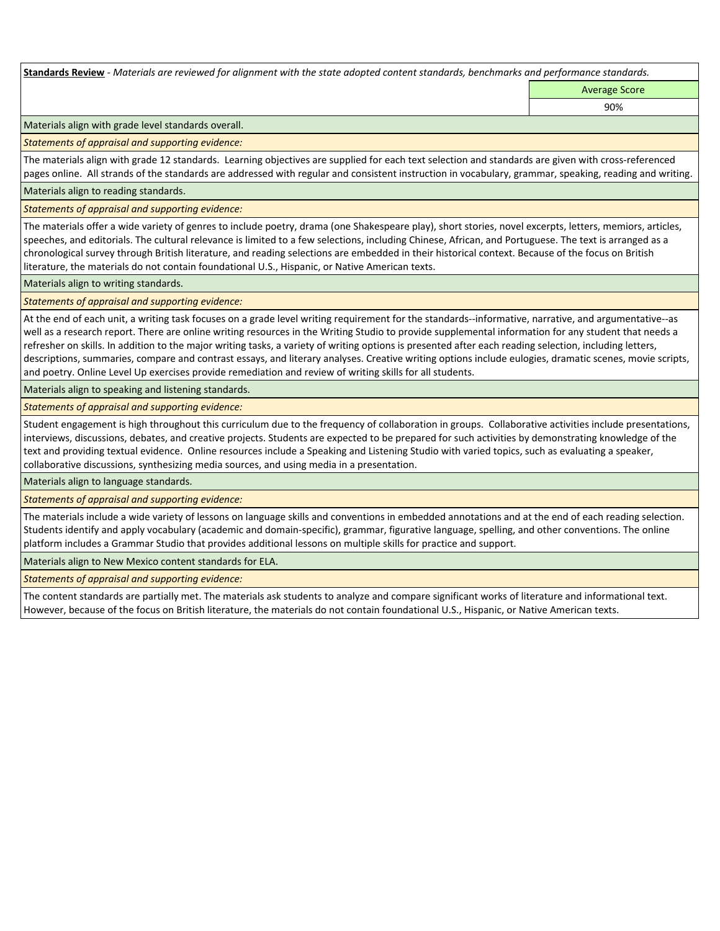**Standards Review** *- Materials are reviewed for alignment with the state adopted content standards, benchmarks and performance standards.*

Average Score 90%

Materials align with grade level standards overall.

*Statements of appraisal and supporting evidence:* 

The materials align with grade 12 standards. Learning objectives are supplied for each text selection and standards are given with cross-referenced pages online. All strands of the standards are addressed with regular and consistent instruction in vocabulary, grammar, speaking, reading and writing.

Materials align to reading standards.

*Statements of appraisal and supporting evidence:* 

The materials offer a wide variety of genres to include poetry, drama (one Shakespeare play), short stories, novel excerpts, letters, memiors, articles, speeches, and editorials. The cultural relevance is limited to a few selections, including Chinese, African, and Portuguese. The text is arranged as a chronological survey through British literature, and reading selections are embedded in their historical context. Because of the focus on British literature, the materials do not contain foundational U.S., Hispanic, or Native American texts.

Materials align to writing standards.

*Statements of appraisal and supporting evidence:* 

At the end of each unit, a writing task focuses on a grade level writing requirement for the standards--informative, narrative, and argumentative--as well as a research report. There are online writing resources in the Writing Studio to provide supplemental information for any student that needs a refresher on skills. In addition to the major writing tasks, a variety of writing options is presented after each reading selection, including letters, descriptions, summaries, compare and contrast essays, and literary analyses. Creative writing options include eulogies, dramatic scenes, movie scripts, and poetry. Online Level Up exercises provide remediation and review of writing skills for all students.

Materials align to speaking and listening standards.

*Statements of appraisal and supporting evidence:* 

Student engagement is high throughout this curriculum due to the frequency of collaboration in groups. Collaborative activities include presentations, interviews, discussions, debates, and creative projects. Students are expected to be prepared for such activities by demonstrating knowledge of the text and providing textual evidence. Online resources include a Speaking and Listening Studio with varied topics, such as evaluating a speaker, collaborative discussions, synthesizing media sources, and using media in a presentation.

Materials align to language standards.

*Statements of appraisal and supporting evidence:* 

The materials include a wide variety of lessons on language skills and conventions in embedded annotations and at the end of each reading selection. Students identify and apply vocabulary (academic and domain-specific), grammar, figurative language, spelling, and other conventions. The online platform includes a Grammar Studio that provides additional lessons on multiple skills for practice and support.

Materials align to New Mexico content standards for ELA.

*Statements of appraisal and supporting evidence:* 

The content standards are partially met. The materials ask students to analyze and compare significant works of literature and informational text. However, because of the focus on British literature, the materials do not contain foundational U.S., Hispanic, or Native American texts.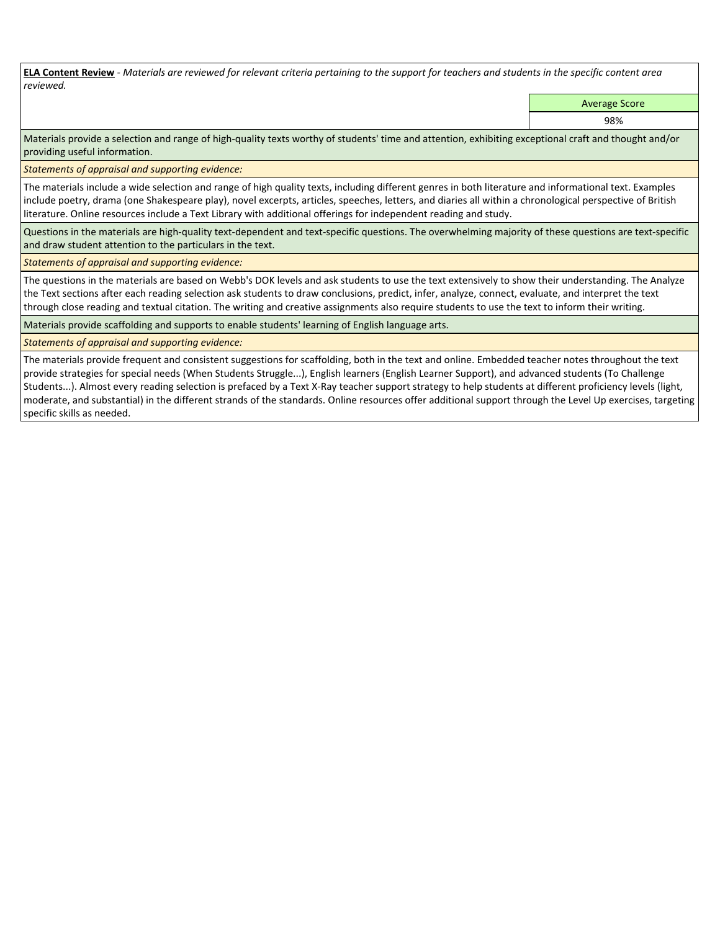**ELA Content Review** *- Materials are reviewed for relevant criteria pertaining to the support for teachers and students in the specific content area reviewed.*

Average Score

98%

Materials provide a selection and range of high-quality texts worthy of students' time and attention, exhibiting exceptional craft and thought and/or providing useful information.

*Statements of appraisal and supporting evidence:* 

The materials include a wide selection and range of high quality texts, including different genres in both literature and informational text. Examples include poetry, drama (one Shakespeare play), novel excerpts, articles, speeches, letters, and diaries all within a chronological perspective of British literature. Online resources include a Text Library with additional offerings for independent reading and study.

Questions in the materials are high-quality text-dependent and text-specific questions. The overwhelming majority of these questions are text-specific and draw student attention to the particulars in the text.

*Statements of appraisal and supporting evidence:* 

The questions in the materials are based on Webb's DOK levels and ask students to use the text extensively to show their understanding. The Analyze the Text sections after each reading selection ask students to draw conclusions, predict, infer, analyze, connect, evaluate, and interpret the text through close reading and textual citation. The writing and creative assignments also require students to use the text to inform their writing.

Materials provide scaffolding and supports to enable students' learning of English language arts.

# *Statements of appraisal and supporting evidence:*

The materials provide frequent and consistent suggestions for scaffolding, both in the text and online. Embedded teacher notes throughout the text provide strategies for special needs (When Students Struggle...), English learners (English Learner Support), and advanced students (To Challenge Students...). Almost every reading selection is prefaced by a Text X-Ray teacher support strategy to help students at different proficiency levels (light, moderate, and substantial) in the different strands of the standards. Online resources offer additional support through the Level Up exercises, targeting specific skills as needed.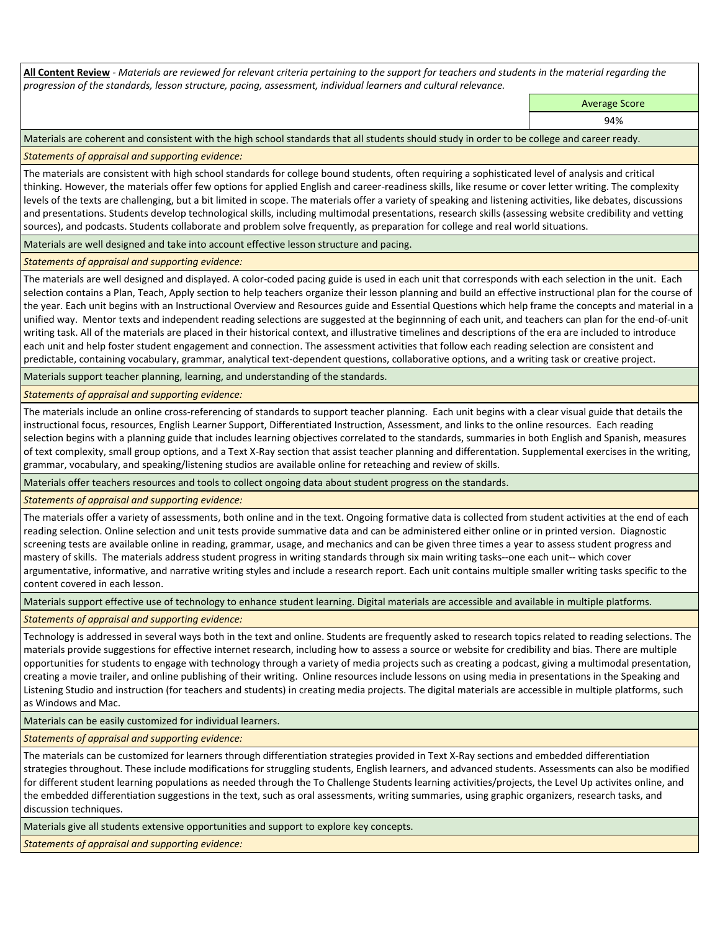**All Content Review** *- Materials are reviewed for relevant criteria pertaining to the support for teachers and students in the material regarding the progression of the standards, lesson structure, pacing, assessment, individual learners and cultural relevance.*

Average Score

94%

Materials are coherent and consistent with the high school standards that all students should study in order to be college and career ready.

*Statements of appraisal and supporting evidence:*

The materials are consistent with high school standards for college bound students, often requiring a sophisticated level of analysis and critical thinking. However, the materials offer few options for applied English and career-readiness skills, like resume or cover letter writing. The complexity levels of the texts are challenging, but a bit limited in scope. The materials offer a variety of speaking and listening activities, like debates, discussions and presentations. Students develop technological skills, including multimodal presentations, research skills (assessing website credibility and vetting sources), and podcasts. Students collaborate and problem solve frequently, as preparation for college and real world situations.

Materials are well designed and take into account effective lesson structure and pacing.

*Statements of appraisal and supporting evidence:*

The materials are well designed and displayed. A color-coded pacing guide is used in each unit that corresponds with each selection in the unit. Each selection contains a Plan, Teach, Apply section to help teachers organize their lesson planning and build an effective instructional plan for the course of the year. Each unit begins with an Instructional Overview and Resources guide and Essential Questions which help frame the concepts and material in a unified way. Mentor texts and independent reading selections are suggested at the beginnning of each unit, and teachers can plan for the end-of-unit writing task. All of the materials are placed in their historical context, and illustrative timelines and descriptions of the era are included to introduce each unit and help foster student engagement and connection. The assessment activities that follow each reading selection are consistent and predictable, containing vocabulary, grammar, analytical text-dependent questions, collaborative options, and a writing task or creative project.

Materials support teacher planning, learning, and understanding of the standards.

*Statements of appraisal and supporting evidence:*

The materials include an online cross-referencing of standards to support teacher planning. Each unit begins with a clear visual guide that details the instructional focus, resources, English Learner Support, Differentiated Instruction, Assessment, and links to the online resources. Each reading selection begins with a planning guide that includes learning objectives correlated to the standards, summaries in both English and Spanish, measures of text complexity, small group options, and a Text X-Ray section that assist teacher planning and differentation. Supplemental exercises in the writing, grammar, vocabulary, and speaking/listening studios are available online for reteaching and review of skills.

Materials offer teachers resources and tools to collect ongoing data about student progress on the standards.

*Statements of appraisal and supporting evidence:*

The materials offer a variety of assessments, both online and in the text. Ongoing formative data is collected from student activities at the end of each reading selection. Online selection and unit tests provide summative data and can be administered either online or in printed version. Diagnostic screening tests are available online in reading, grammar, usage, and mechanics and can be given three times a year to assess student progress and mastery of skills. The materials address student progress in writing standards through six main writing tasks--one each unit-- which cover argumentative, informative, and narrative writing styles and include a research report. Each unit contains multiple smaller writing tasks specific to the content covered in each lesson.

Materials support effective use of technology to enhance student learning. Digital materials are accessible and available in multiple platforms.

*Statements of appraisal and supporting evidence:*

Technology is addressed in several ways both in the text and online. Students are frequently asked to research topics related to reading selections. The materials provide suggestions for effective internet research, including how to assess a source or website for credibility and bias. There are multiple opportunities for students to engage with technology through a variety of media projects such as creating a podcast, giving a multimodal presentation, creating a movie trailer, and online publishing of their writing. Online resources include lessons on using media in presentations in the Speaking and Listening Studio and instruction (for teachers and students) in creating media projects. The digital materials are accessible in multiple platforms, such as Windows and Mac.

Materials can be easily customized for individual learners.

*Statements of appraisal and supporting evidence:* 

The materials can be customized for learners through differentiation strategies provided in Text X-Ray sections and embedded differentiation strategies throughout. These include modifications for struggling students, English learners, and advanced students. Assessments can also be modified for different student learning populations as needed through the To Challenge Students learning activities/projects, the Level Up activites online, and the embedded differentiation suggestions in the text, such as oral assessments, writing summaries, using graphic organizers, research tasks, and discussion techniques.

Materials give all students extensive opportunities and support to explore key concepts.

*Statements of appraisal and supporting evidence:*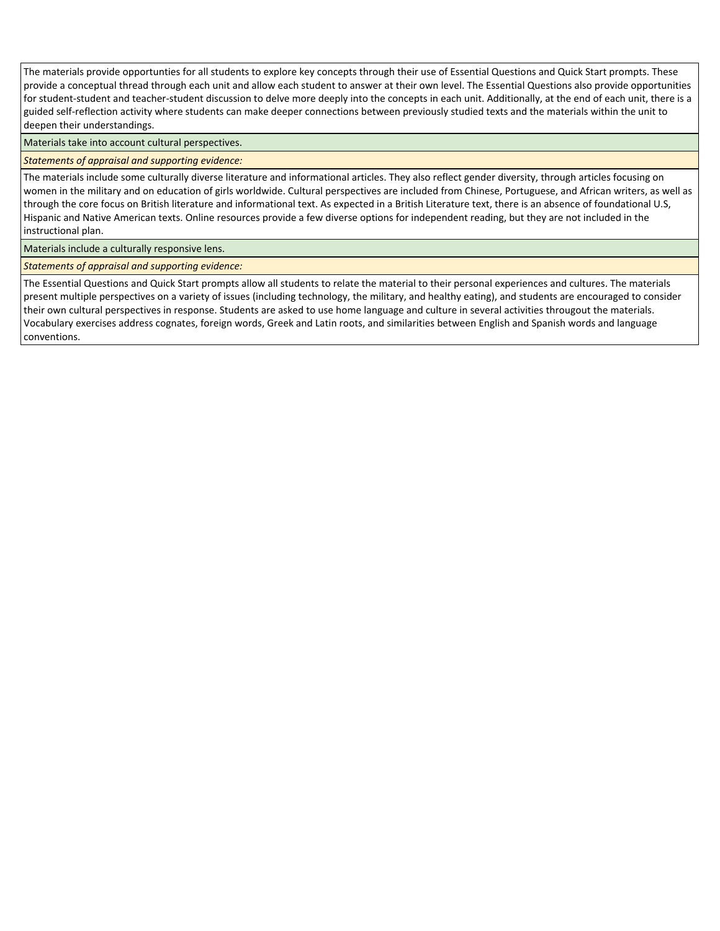The materials provide opportunties for all students to explore key concepts through their use of Essential Questions and Quick Start prompts. These provide a conceptual thread through each unit and allow each student to answer at their own level. The Essential Questions also provide opportunities for student-student and teacher-student discussion to delve more deeply into the concepts in each unit. Additionally, at the end of each unit, there is a guided self-reflection activity where students can make deeper connections between previously studied texts and the materials within the unit to deepen their understandings.

Materials take into account cultural perspectives.

*Statements of appraisal and supporting evidence:*

The materials include some culturally diverse literature and informational articles. They also reflect gender diversity, through articles focusing on women in the military and on education of girls worldwide. Cultural perspectives are included from Chinese, Portuguese, and African writers, as well as through the core focus on British literature and informational text. As expected in a British Literature text, there is an absence of foundational U.S, Hispanic and Native American texts. Online resources provide a few diverse options for independent reading, but they are not included in the instructional plan.

Materials include a culturally responsive lens.

*Statements of appraisal and supporting evidence:*

The Essential Questions and Quick Start prompts allow all students to relate the material to their personal experiences and cultures. The materials present multiple perspectives on a variety of issues (including technology, the military, and healthy eating), and students are encouraged to consider their own cultural perspectives in response. Students are asked to use home language and culture in several activities througout the materials. Vocabulary exercises address cognates, foreign words, Greek and Latin roots, and similarities between English and Spanish words and language conventions.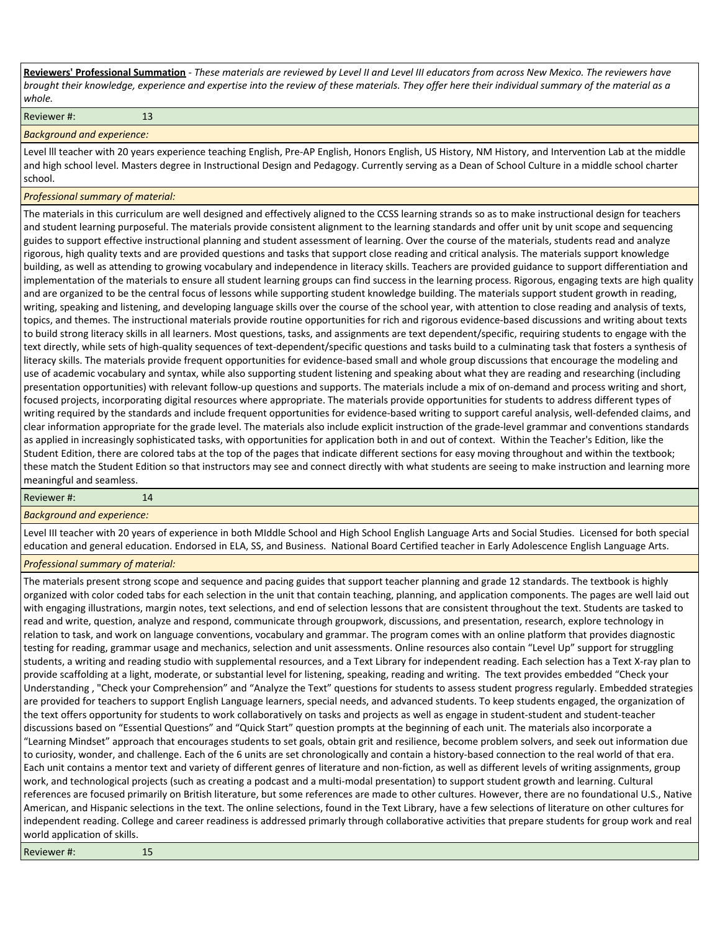**Reviewers' Professional Summation** *- These materials are reviewed by Level II and Level III educators from across New Mexico. The reviewers have brought their knowledge, experience and expertise into the review of these materials. They offer here their individual summary of the material as a whole.*

Reviewer #: 13

# *Background and experience:*

Level lll teacher with 20 years experience teaching English, Pre-AP English, Honors English, US History, NM History, and Intervention Lab at the middle and high school level. Masters degree in Instructional Design and Pedagogy. Currently serving as a Dean of School Culture in a middle school charter school.

# *Professional summary of material:*

The materials in this curriculum are well designed and effectively aligned to the CCSS learning strands so as to make instructional design for teachers and student learning purposeful. The materials provide consistent alignment to the learning standards and offer unit by unit scope and sequencing guides to support effective instructional planning and student assessment of learning. Over the course of the materials, students read and analyze rigorous, high quality texts and are provided questions and tasks that support close reading and critical analysis. The materials support knowledge building, as well as attending to growing vocabulary and independence in literacy skills. Teachers are provided guidance to support differentiation and implementation of the materials to ensure all student learning groups can find success in the learning process. Rigorous, engaging texts are high quality and are organized to be the central focus of lessons while supporting student knowledge building. The materials support student growth in reading, writing, speaking and listening, and developing language skills over the course of the school year, with attention to close reading and analysis of texts, topics, and themes. The instructional materials provide routine opportunities for rich and rigorous evidence-based discussions and writing about texts to build strong literacy skills in all learners. Most questions, tasks, and assignments are text dependent/specific, requiring students to engage with the text directly, while sets of high-quality sequences of text-dependent/specific questions and tasks build to a culminating task that fosters a synthesis of literacy skills. The materials provide frequent opportunities for evidence-based small and whole group discussions that encourage the modeling and use of academic vocabulary and syntax, while also supporting student listening and speaking about what they are reading and researching (including presentation opportunities) with relevant follow-up questions and supports. The materials include a mix of on-demand and process writing and short, focused projects, incorporating digital resources where appropriate. The materials provide opportunities for students to address different types of writing required by the standards and include frequent opportunities for evidence-based writing to support careful analysis, well-defended claims, and clear information appropriate for the grade level. The materials also include explicit instruction of the grade-level grammar and conventions standards as applied in increasingly sophisticated tasks, with opportunities for application both in and out of context. Within the Teacher's Edition, like the Student Edition, there are colored tabs at the top of the pages that indicate different sections for easy moving throughout and within the textbook; these match the Student Edition so that instructors may see and connect directly with what students are seeing to make instruction and learning more meaningful and seamless.

#### Reviewer #: 14

# *Background and experience:*

Level III teacher with 20 years of experience in both MIddle School and High School English Language Arts and Social Studies. Licensed for both special education and general education. Endorsed in ELA, SS, and Business. National Board Certified teacher in Early Adolescence English Language Arts.

# *Professional summary of material:*

The materials present strong scope and sequence and pacing guides that support teacher planning and grade 12 standards. The textbook is highly organized with color coded tabs for each selection in the unit that contain teaching, planning, and application components. The pages are well laid out with engaging illustrations, margin notes, text selections, and end of selection lessons that are consistent throughout the text. Students are tasked to read and write, question, analyze and respond, communicate through groupwork, discussions, and presentation, research, explore technology in relation to task, and work on language conventions, vocabulary and grammar. The program comes with an online platform that provides diagnostic testing for reading, grammar usage and mechanics, selection and unit assessments. Online resources also contain "Level Up" support for struggling students, a writing and reading studio with supplemental resources, and a Text Library for independent reading. Each selection has a Text X-ray plan to provide scaffolding at a light, moderate, or substantial level for listening, speaking, reading and writing. The text provides embedded "Check your Understanding , "Check your Comprehension" and "Analyze the Text" questions for students to assess student progress regularly. Embedded strategies are provided for teachers to support English Language learners, special needs, and advanced students. To keep students engaged, the organization of the text offers opportunity for students to work collaboratively on tasks and projects as well as engage in student-student and student-teacher discussions based on "Essential Questions" and "Quick Start" question prompts at the beginning of each unit. The materials also incorporate a "Learning Mindset" approach that encourages students to set goals, obtain grit and resilience, become problem solvers, and seek out information due to curiosity, wonder, and challenge. Each of the 6 units are set chronologically and contain a history-based connection to the real world of that era. Each unit contains a mentor text and variety of different genres of literature and non-fiction, as well as different levels of writing assignments, group work, and technological projects (such as creating a podcast and a multi-modal presentation) to support student growth and learning. Cultural references are focused primarily on British literature, but some references are made to other cultures. However, there are no foundational U.S., Native American, and Hispanic selections in the text. The online selections, found in the Text Library, have a few selections of literature on other cultures for independent reading. College and career readiness is addressed primarly through collaborative activities that prepare students for group work and real world application of skills.

Reviewer #: 15